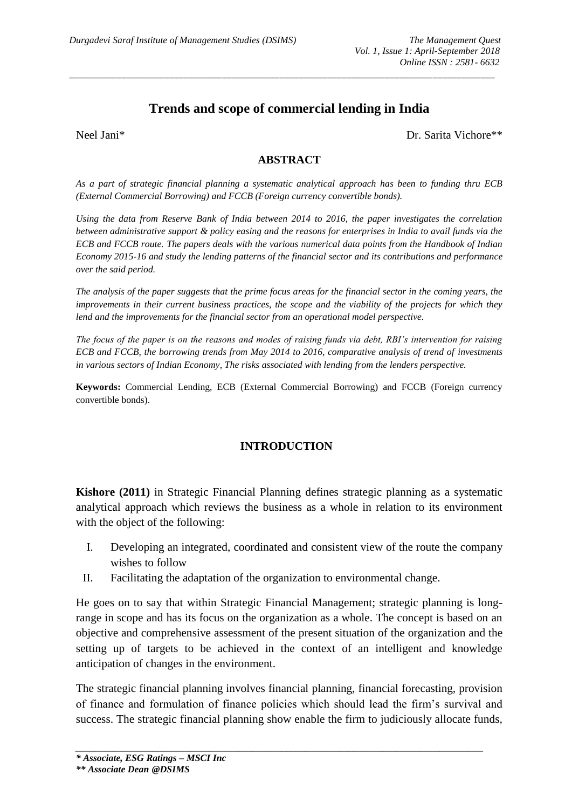# **Trends and scope of commercial lending in India**

\_\_\_\_\_\_\_\_\_\_\_\_\_\_\_\_\_\_\_\_\_\_\_\_\_\_\_\_\_\_\_\_\_\_\_\_\_\_\_\_\_\_\_\_\_\_\_\_\_\_\_\_\_\_\_\_\_\_\_\_\_\_\_\_\_\_\_\_\_\_\_\_\_\_\_\_\_\_\_\_\_\_\_\_\_\_\_\_\_

Neel Jani\* Dr. Sarita Vichore\*\*

#### **ABSTRACT**

*As a part of strategic financial planning a systematic analytical approach has been to funding thru ECB (External Commercial Borrowing) and FCCB (Foreign currency convertible bonds).*

*Using the data from Reserve Bank of India between 2014 to 2016, the paper investigates the correlation between administrative support & policy easing and the reasons for enterprises in India to avail funds via the ECB and FCCB route. The papers deals with the various numerical data points from the Handbook of Indian Economy 2015-16 and study the lending patterns of the financial sector and its contributions and performance over the said period.*

*The analysis of the paper suggests that the prime focus areas for the financial sector in the coming years, the improvements in their current business practices, the scope and the viability of the projects for which they lend and the improvements for the financial sector from an operational model perspective.*

*The focus of the paper is on the reasons and modes of raising funds via debt, RBI's intervention for raising ECB and FCCB, the borrowing trends from May 2014 to 2016, comparative analysis of trend of investments in various sectors of Indian Economy, The risks associated with lending from the lenders perspective.*

**Keywords:** Commercial Lending, ECB (External Commercial Borrowing) and FCCB (Foreign currency convertible bonds).

#### **INTRODUCTION**

**Kishore (2011)** in Strategic Financial Planning defines strategic planning as a systematic analytical approach which reviews the business as a whole in relation to its environment with the object of the following:

- I. Developing an integrated, coordinated and consistent view of the route the company wishes to follow
- II. Facilitating the adaptation of the organization to environmental change.

He goes on to say that within Strategic Financial Management; strategic planning is longrange in scope and has its focus on the organization as a whole. The concept is based on an objective and comprehensive assessment of the present situation of the organization and the setting up of targets to be achieved in the context of an intelligent and knowledge anticipation of changes in the environment.

The strategic financial planning involves financial planning, financial forecasting, provision of finance and formulation of finance policies which should lead the firm's survival and success. The strategic financial planning show enable the firm to judiciously allocate funds,

*\_\_\_\_\_\_\_\_\_\_\_\_\_\_\_\_\_\_\_\_\_\_\_\_\_\_\_\_\_\_\_\_\_\_\_\_\_\_\_\_\_\_\_\_\_\_\_\_\_\_\_\_\_\_\_\_\_\_\_\_\_\_\_\_\_\_\_\_\_\_\_\_\_\_\_\_\_\_\_\_\_\_\_\_\_*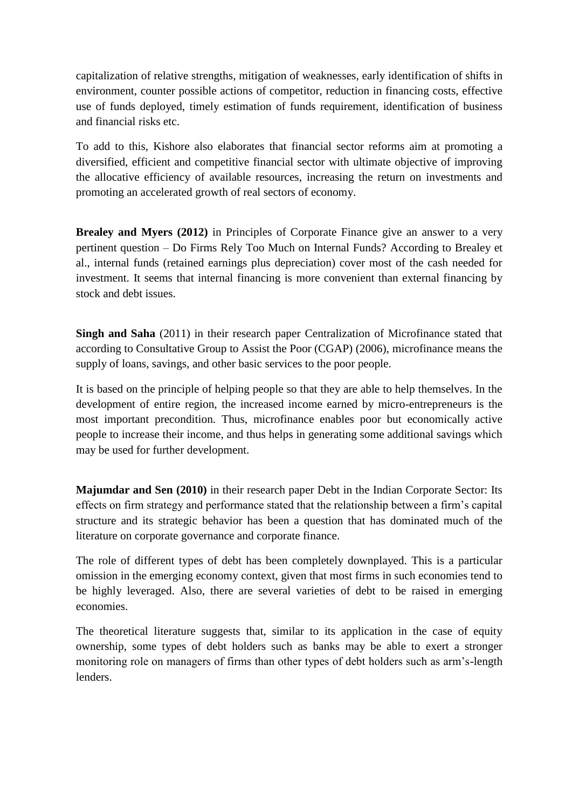capitalization of relative strengths, mitigation of weaknesses, early identification of shifts in environment, counter possible actions of competitor, reduction in financing costs, effective use of funds deployed, timely estimation of funds requirement, identification of business and financial risks etc.

To add to this, Kishore also elaborates that financial sector reforms aim at promoting a diversified, efficient and competitive financial sector with ultimate objective of improving the allocative efficiency of available resources, increasing the return on investments and promoting an accelerated growth of real sectors of economy.

**Brealey and Myers (2012)** in Principles of Corporate Finance give an answer to a very pertinent question – Do Firms Rely Too Much on Internal Funds? According to Brealey et al., internal funds (retained earnings plus depreciation) cover most of the cash needed for investment. It seems that internal financing is more convenient than external financing by stock and debt issues.

**Singh and Saha** (2011) in their research paper Centralization of Microfinance stated that according to Consultative Group to Assist the Poor (CGAP) (2006), microfinance means the supply of loans, savings, and other basic services to the poor people.

It is based on the principle of helping people so that they are able to help themselves. In the development of entire region, the increased income earned by micro-entrepreneurs is the most important precondition. Thus, microfinance enables poor but economically active people to increase their income, and thus helps in generating some additional savings which may be used for further development.

**Majumdar and Sen (2010)** in their research paper Debt in the Indian Corporate Sector: Its effects on firm strategy and performance stated that the relationship between a firm's capital structure and its strategic behavior has been a question that has dominated much of the literature on corporate governance and corporate finance.

The role of different types of debt has been completely downplayed. This is a particular omission in the emerging economy context, given that most firms in such economies tend to be highly leveraged. Also, there are several varieties of debt to be raised in emerging economies.

The theoretical literature suggests that, similar to its application in the case of equity ownership, some types of debt holders such as banks may be able to exert a stronger monitoring role on managers of firms than other types of debt holders such as arm's-length lenders.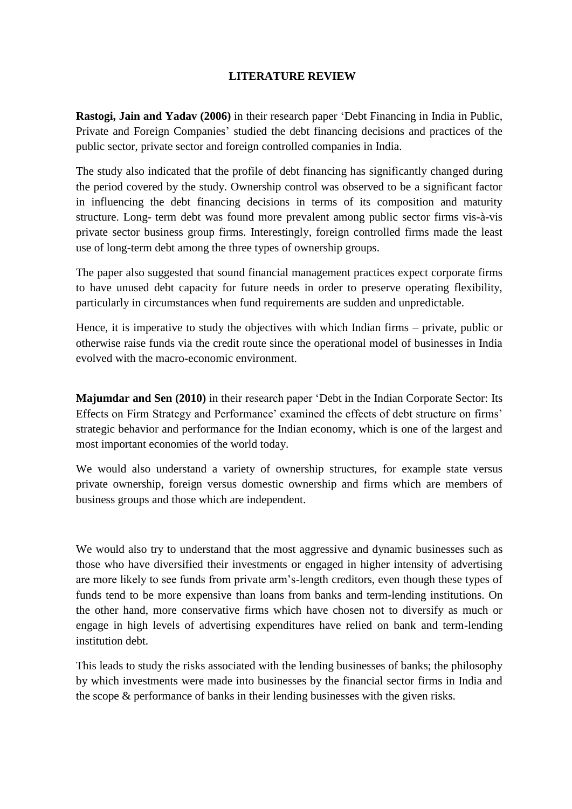### **LITERATURE REVIEW**

**Rastogi, Jain and Yadav (2006)** in their research paper 'Debt Financing in India in Public, Private and Foreign Companies' studied the debt financing decisions and practices of the public sector, private sector and foreign controlled companies in India.

The study also indicated that the profile of debt financing has significantly changed during the period covered by the study. Ownership control was observed to be a significant factor in influencing the debt financing decisions in terms of its composition and maturity structure. Long- term debt was found more prevalent among public sector firms vis-à-vis private sector business group firms. Interestingly, foreign controlled firms made the least use of long-term debt among the three types of ownership groups.

The paper also suggested that sound financial management practices expect corporate firms to have unused debt capacity for future needs in order to preserve operating flexibility, particularly in circumstances when fund requirements are sudden and unpredictable.

Hence, it is imperative to study the objectives with which Indian firms – private, public or otherwise raise funds via the credit route since the operational model of businesses in India evolved with the macro-economic environment.

**Majumdar and Sen (2010)** in their research paper 'Debt in the Indian Corporate Sector: Its Effects on Firm Strategy and Performance' examined the effects of debt structure on firms' strategic behavior and performance for the Indian economy, which is one of the largest and most important economies of the world today.

We would also understand a variety of ownership structures, for example state versus private ownership, foreign versus domestic ownership and firms which are members of business groups and those which are independent.

We would also try to understand that the most aggressive and dynamic businesses such as those who have diversified their investments or engaged in higher intensity of advertising are more likely to see funds from private arm's-length creditors, even though these types of funds tend to be more expensive than loans from banks and term-lending institutions. On the other hand, more conservative firms which have chosen not to diversify as much or engage in high levels of advertising expenditures have relied on bank and term-lending institution debt.

This leads to study the risks associated with the lending businesses of banks; the philosophy by which investments were made into businesses by the financial sector firms in India and the scope & performance of banks in their lending businesses with the given risks.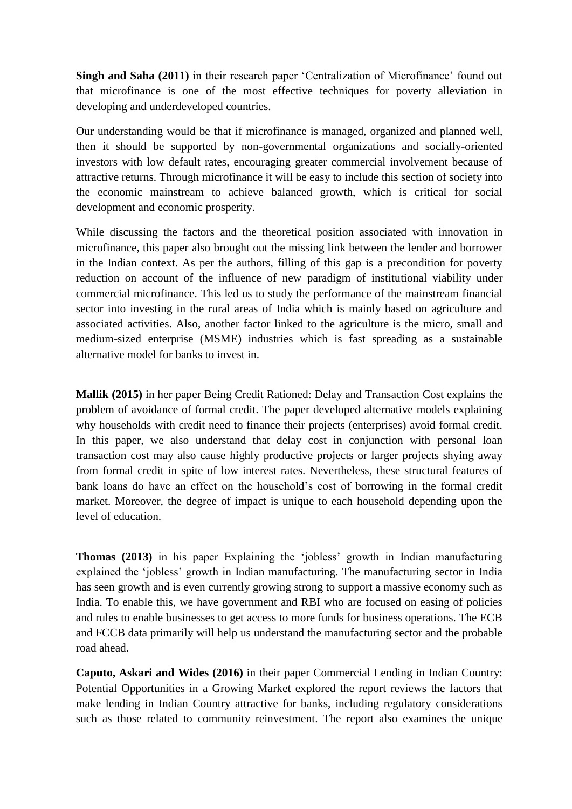**Singh and Saha (2011)** in their research paper 'Centralization of Microfinance' found out that microfinance is one of the most effective techniques for poverty alleviation in developing and underdeveloped countries.

Our understanding would be that if microfinance is managed, organized and planned well, then it should be supported by non-governmental organizations and socially-oriented investors with low default rates, encouraging greater commercial involvement because of attractive returns. Through microfinance it will be easy to include this section of society into the economic mainstream to achieve balanced growth, which is critical for social development and economic prosperity.

While discussing the factors and the theoretical position associated with innovation in microfinance, this paper also brought out the missing link between the lender and borrower in the Indian context. As per the authors, filling of this gap is a precondition for poverty reduction on account of the influence of new paradigm of institutional viability under commercial microfinance. This led us to study the performance of the mainstream financial sector into investing in the rural areas of India which is mainly based on agriculture and associated activities. Also, another factor linked to the agriculture is the micro, small and medium-sized enterprise (MSME) industries which is fast spreading as a sustainable alternative model for banks to invest in.

**Mallik (2015)** in her paper Being Credit Rationed: Delay and Transaction Cost explains the problem of avoidance of formal credit. The paper developed alternative models explaining why households with credit need to finance their projects (enterprises) avoid formal credit. In this paper, we also understand that delay cost in conjunction with personal loan transaction cost may also cause highly productive projects or larger projects shying away from formal credit in spite of low interest rates. Nevertheless, these structural features of bank loans do have an effect on the household's cost of borrowing in the formal credit market. Moreover, the degree of impact is unique to each household depending upon the level of education.

**Thomas (2013)** in his paper Explaining the 'jobless' growth in Indian manufacturing explained the 'jobless' growth in Indian manufacturing. The manufacturing sector in India has seen growth and is even currently growing strong to support a massive economy such as India. To enable this, we have government and RBI who are focused on easing of policies and rules to enable businesses to get access to more funds for business operations. The ECB and FCCB data primarily will help us understand the manufacturing sector and the probable road ahead.

**Caputo, Askari and Wides (2016)** in their paper Commercial Lending in Indian Country: Potential Opportunities in a Growing Market explored the report reviews the factors that make lending in Indian Country attractive for banks, including regulatory considerations such as those related to community reinvestment. The report also examines the unique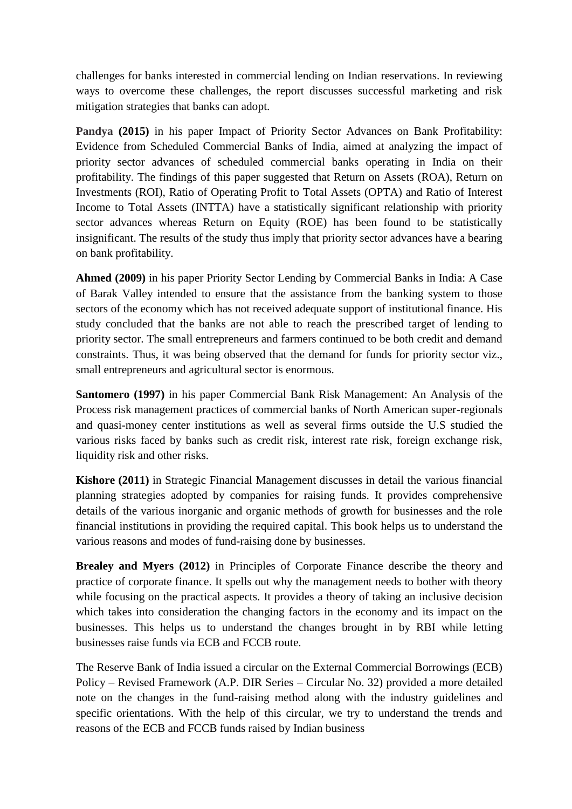challenges for banks interested in commercial lending on Indian reservations. In reviewing ways to overcome these challenges, the report discusses successful marketing and risk mitigation strategies that banks can adopt.

**Pandya (2015)** in his paper Impact of Priority Sector Advances on Bank Profitability: Evidence from Scheduled Commercial Banks of India, aimed at analyzing the impact of priority sector advances of scheduled commercial banks operating in India on their profitability. The findings of this paper suggested that Return on Assets (ROA), Return on Investments (ROI), Ratio of Operating Profit to Total Assets (OPTA) and Ratio of Interest Income to Total Assets (INTTA) have a statistically significant relationship with priority sector advances whereas Return on Equity (ROE) has been found to be statistically insignificant. The results of the study thus imply that priority sector advances have a bearing on bank profitability.

**Ahmed (2009)** in his paper Priority Sector Lending by Commercial Banks in India: A Case of Barak Valley intended to ensure that the assistance from the banking system to those sectors of the economy which has not received adequate support of institutional finance. His study concluded that the banks are not able to reach the prescribed target of lending to priority sector. The small entrepreneurs and farmers continued to be both credit and demand constraints. Thus, it was being observed that the demand for funds for priority sector viz., small entrepreneurs and agricultural sector is enormous.

**Santomero (1997)** in his paper Commercial Bank Risk Management: An Analysis of the Process risk management practices of commercial banks of North American super-regionals and quasi-money center institutions as well as several firms outside the U.S studied the various risks faced by banks such as credit risk, interest rate risk, foreign exchange risk, liquidity risk and other risks.

**Kishore (2011)** in Strategic Financial Management discusses in detail the various financial planning strategies adopted by companies for raising funds. It provides comprehensive details of the various inorganic and organic methods of growth for businesses and the role financial institutions in providing the required capital. This book helps us to understand the various reasons and modes of fund-raising done by businesses.

**Brealey and Myers (2012)** in Principles of Corporate Finance describe the theory and practice of corporate finance. It spells out why the management needs to bother with theory while focusing on the practical aspects. It provides a theory of taking an inclusive decision which takes into consideration the changing factors in the economy and its impact on the businesses. This helps us to understand the changes brought in by RBI while letting businesses raise funds via ECB and FCCB route.

The Reserve Bank of India issued a circular on the External Commercial Borrowings (ECB) Policy – Revised Framework (A.P. DIR Series – Circular No. 32) provided a more detailed note on the changes in the fund-raising method along with the industry guidelines and specific orientations. With the help of this circular, we try to understand the trends and reasons of the ECB and FCCB funds raised by Indian business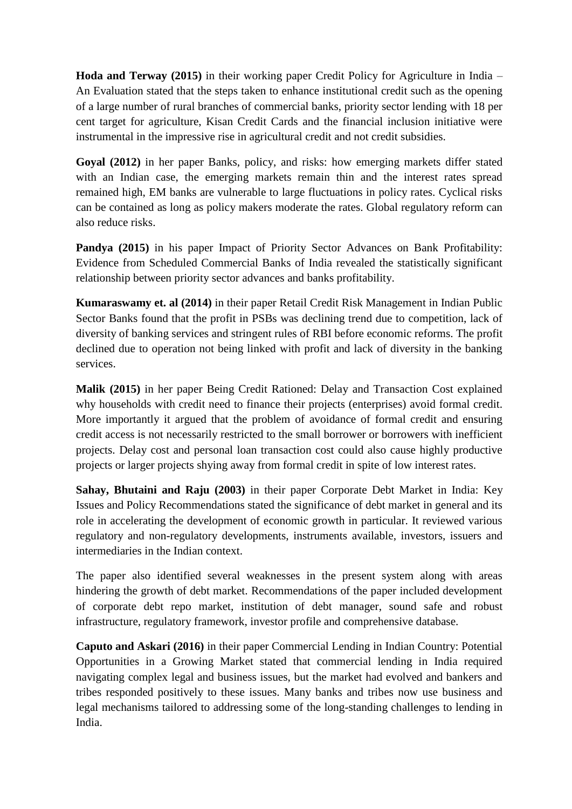**Hoda and Terway (2015)** in their working paper Credit Policy for Agriculture in India – An Evaluation stated that the steps taken to enhance institutional credit such as the opening of a large number of rural branches of commercial banks, priority sector lending with 18 per cent target for agriculture, Kisan Credit Cards and the financial inclusion initiative were instrumental in the impressive rise in agricultural credit and not credit subsidies.

**Goyal (2012)** in her paper Banks, policy, and risks: how emerging markets differ stated with an Indian case, the emerging markets remain thin and the interest rates spread remained high, EM banks are vulnerable to large fluctuations in policy rates. Cyclical risks can be contained as long as policy makers moderate the rates. Global regulatory reform can also reduce risks.

**Pandya (2015)** in his paper Impact of Priority Sector Advances on Bank Profitability: Evidence from Scheduled Commercial Banks of India revealed the statistically significant relationship between priority sector advances and banks profitability.

**Kumaraswamy et. al (2014)** in their paper Retail Credit Risk Management in Indian Public Sector Banks found that the profit in PSBs was declining trend due to competition, lack of diversity of banking services and stringent rules of RBI before economic reforms. The profit declined due to operation not being linked with profit and lack of diversity in the banking services.

**Malik (2015)** in her paper Being Credit Rationed: Delay and Transaction Cost explained why households with credit need to finance their projects (enterprises) avoid formal credit. More importantly it argued that the problem of avoidance of formal credit and ensuring credit access is not necessarily restricted to the small borrower or borrowers with inefficient projects. Delay cost and personal loan transaction cost could also cause highly productive projects or larger projects shying away from formal credit in spite of low interest rates.

**Sahay, Bhutaini and Raju (2003)** in their paper Corporate Debt Market in India: Key Issues and Policy Recommendations stated the significance of debt market in general and its role in accelerating the development of economic growth in particular. It reviewed various regulatory and non-regulatory developments, instruments available, investors, issuers and intermediaries in the Indian context.

The paper also identified several weaknesses in the present system along with areas hindering the growth of debt market. Recommendations of the paper included development of corporate debt repo market, institution of debt manager, sound safe and robust infrastructure, regulatory framework, investor profile and comprehensive database.

**Caputo and Askari (2016)** in their paper Commercial Lending in Indian Country: Potential Opportunities in a Growing Market stated that commercial lending in India required navigating complex legal and business issues, but the market had evolved and bankers and tribes responded positively to these issues. Many banks and tribes now use business and legal mechanisms tailored to addressing some of the long-standing challenges to lending in India.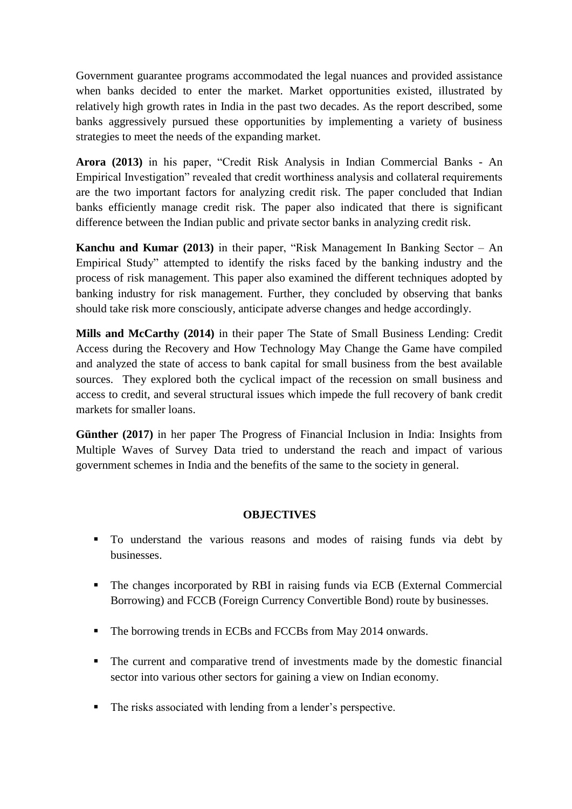Government guarantee programs accommodated the legal nuances and provided assistance when banks decided to enter the market. Market opportunities existed, illustrated by relatively high growth rates in India in the past two decades. As the report described, some banks aggressively pursued these opportunities by implementing a variety of business strategies to meet the needs of the expanding market.

**Arora (2013)** in his paper, "Credit Risk Analysis in Indian Commercial Banks - An Empirical Investigation" revealed that credit worthiness analysis and collateral requirements are the two important factors for analyzing credit risk. The paper concluded that Indian banks efficiently manage credit risk. The paper also indicated that there is significant difference between the Indian public and private sector banks in analyzing credit risk.

**Kanchu and Kumar (2013)** in their paper, "Risk Management In Banking Sector – An Empirical Study" attempted to identify the risks faced by the banking industry and the process of risk management. This paper also examined the different techniques adopted by banking industry for risk management. Further, they concluded by observing that banks should take risk more consciously, anticipate adverse changes and hedge accordingly.

**Mills and McCarthy (2014)** in their paper The State of Small Business Lending: Credit Access during the Recovery and How Technology May Change the Game have compiled and analyzed the state of access to bank capital for small business from the best available sources. They explored both the cyclical impact of the recession on small business and access to credit, and several structural issues which impede the full recovery of bank credit markets for smaller loans.

**Günther (2017)** in her paper The Progress of Financial Inclusion in India: Insights from Multiple Waves of Survey Data tried to understand the reach and impact of various government schemes in India and the benefits of the same to the society in general.

### **OBJECTIVES**

- To understand the various reasons and modes of raising funds via debt by businesses.
- The changes incorporated by RBI in raising funds via ECB (External Commercial Borrowing) and FCCB (Foreign Currency Convertible Bond) route by businesses.
- The borrowing trends in ECBs and FCCBs from May 2014 onwards.
- The current and comparative trend of investments made by the domestic financial sector into various other sectors for gaining a view on Indian economy.
- The risks associated with lending from a lender's perspective.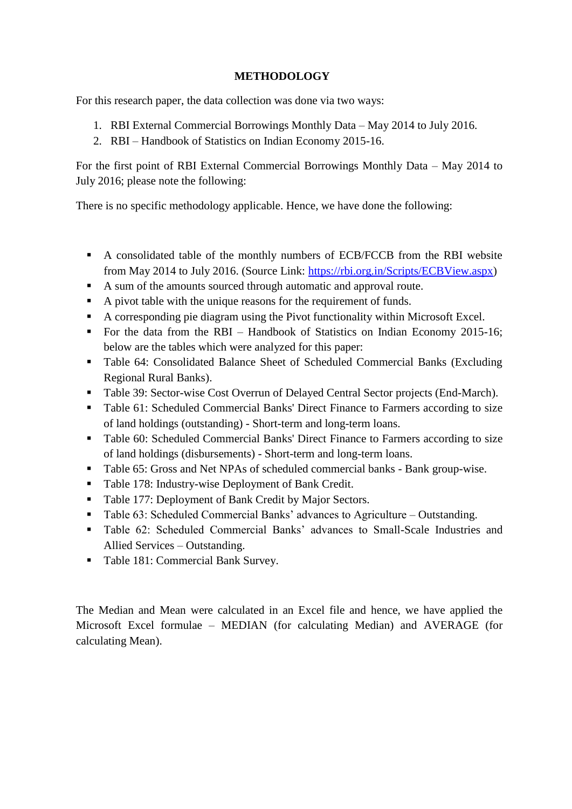## **METHODOLOGY**

For this research paper, the data collection was done via two ways:

- 1. RBI External Commercial Borrowings Monthly Data May 2014 to July 2016.
- 2. RBI Handbook of Statistics on Indian Economy 2015-16.

For the first point of RBI External Commercial Borrowings Monthly Data – May 2014 to July 2016; please note the following:

There is no specific methodology applicable. Hence, we have done the following:

- A consolidated table of the monthly numbers of ECB/FCCB from the RBI website from May 2014 to July 2016. (Source Link: [https://rbi.org.in/Scripts/ECBView.aspx\)](https://rbi.org.in/Scripts/ECBView.aspx)
- A sum of the amounts sourced through automatic and approval route.
- A pivot table with the unique reasons for the requirement of funds.
- A corresponding pie diagram using the Pivot functionality within Microsoft Excel.
- For the data from the RBI Handbook of Statistics on Indian Economy 2015-16; below are the tables which were analyzed for this paper:
- Table 64: Consolidated Balance Sheet of Scheduled Commercial Banks (Excluding Regional Rural Banks).
- Table 39: Sector-wise Cost Overrun of Delayed Central Sector projects (End-March).
- Table 61: Scheduled Commercial Banks' Direct Finance to Farmers according to size of land holdings (outstanding) - Short-term and long-term loans.
- Table 60: Scheduled Commercial Banks' Direct Finance to Farmers according to size of land holdings (disbursements) - Short-term and long-term loans.
- Table 65: Gross and Net NPAs of scheduled commercial banks Bank group-wise.
- Table 178: Industry-wise Deployment of Bank Credit.
- Table 177: Deployment of Bank Credit by Major Sectors.
- Table 63: Scheduled Commercial Banks' advances to Agriculture Outstanding.
- Table 62: Scheduled Commercial Banks' advances to Small-Scale Industries and Allied Services – Outstanding.
- Table 181: Commercial Bank Survey.

The Median and Mean were calculated in an Excel file and hence, we have applied the Microsoft Excel formulae – MEDIAN (for calculating Median) and AVERAGE (for calculating Mean).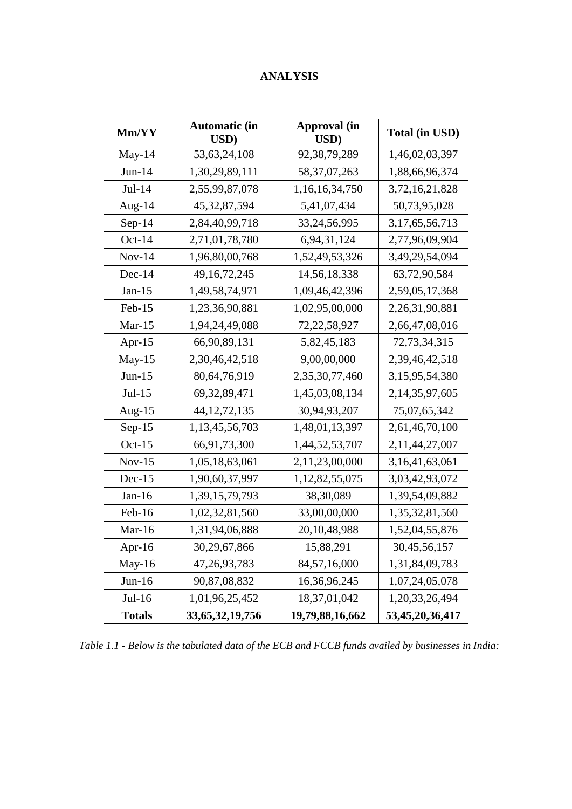# **ANALYSIS**

| Mm/YY         | <b>Automatic (in</b><br>USD) | <b>Approval</b> (in<br>USD) | <b>Total (in USD)</b> |
|---------------|------------------------------|-----------------------------|-----------------------|
| May-14        | 53, 63, 24, 108              | 92, 38, 79, 289             | 1,46,02,03,397        |
| $Jun-14$      | 1,30,29,89,111               | 58, 37, 07, 263             | 1,88,66,96,374        |
| $Jul-14$      | 2,55,99,87,078               | 1, 16, 16, 34, 750          | 3,72,16,21,828        |
| Aug- $14$     | 45, 32, 87, 594              | 5,41,07,434                 | 50,73,95,028          |
| $Sep-14$      | 2,84,40,99,718               | 33, 24, 56, 995             | 3, 17, 65, 56, 713    |
| $Oct-14$      | 2,71,01,78,780               | 6,94,31,124                 | 2,77,96,09,904        |
| $Nov-14$      | 1,96,80,00,768               | 1,52,49,53,326              | 3, 49, 29, 54, 094    |
| $Dec-14$      | 49, 16, 72, 245              | 14,56,18,338                | 63,72,90,584          |
| $Jan-15$      | 1,49,58,74,971               | 1,09,46,42,396              | 2,59,05,17,368        |
| Feb-15        | 1,23,36,90,881               | 1,02,95,00,000              | 2, 26, 31, 90, 881    |
| $Mar-15$      | 1,94,24,49,088               | 72, 22, 58, 927             | 2,66,47,08,016        |
| Apr- $15$     | 66,90,89,131                 | 5,82,45,183                 | 72, 73, 34, 315       |
| May- $15$     | 2,30,46,42,518               | 9,00,00,000                 | 2,39,46,42,518        |
| $Jun-15$      | 80,64,76,919                 | 2,35,30,77,460              | 3,15,95,54,380        |
| $Jul-15$      | 69, 32, 89, 471              | 1,45,03,08,134              | 2, 14, 35, 97, 605    |
| Aug- $15$     | 44, 12, 72, 135              | 30,94,93,207                | 75,07,65,342          |
| $Sep-15$      | 1, 13, 45, 56, 703           | 1,48,01,13,397              | 2,61,46,70,100        |
| $Oct-15$      | 66,91,73,300                 | 1,44,52,53,707              | 2, 11, 44, 27, 007    |
| $Nov-15$      | 1,05,18,63,061               | 2,11,23,00,000              | 3, 16, 41, 63, 061    |
| $Dec-15$      | 1,90,60,37,997               | 1, 12, 82, 55, 075          | 3,03,42,93,072        |
| $Jan-16$      | 1,39,15,79,793               | 38, 30, 089                 | 1,39,54,09,882        |
| Feb-16        | 1,02,32,81,560               | 33,00,00,000                | 1,35,32,81,560        |
| Mar- $16$     | 1,31,94,06,888               | 20, 10, 48, 988             | 1,52,04,55,876        |
| Apr-16        | 30,29,67,866                 | 15,88,291                   | 30,45,56,157          |
| $May-16$      | 47, 26, 93, 783              | 84,57,16,000                | 1,31,84,09,783        |
| $Jun-16$      | 90,87,08,832                 | 16,36,96,245                | 1,07,24,05,078        |
| Jul-16        | 1,01,96,25,452               | 18,37,01,042                | 1,20,33,26,494        |
| <b>Totals</b> | 33, 65, 32, 19, 756          | 19,79,88,16,662             | 53,45,20,36,417       |

*Table 1.1 - Below is the tabulated data of the ECB and FCCB funds availed by businesses in India:*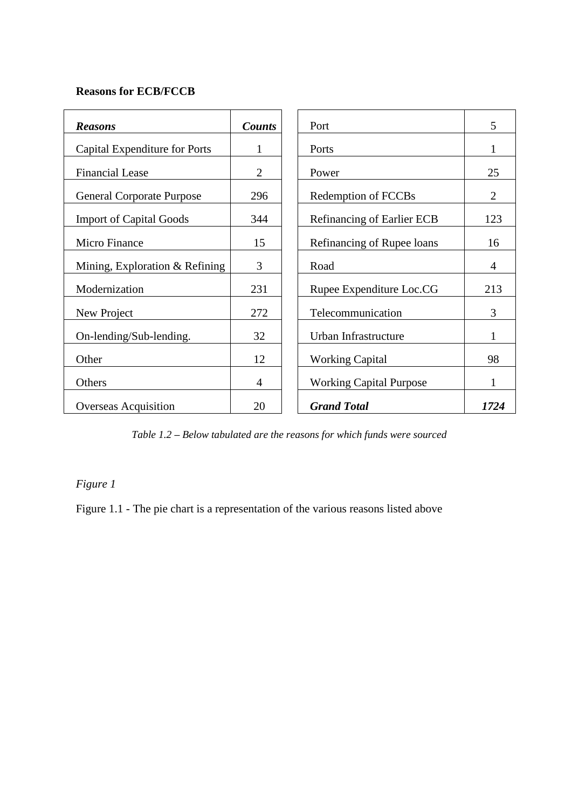## **Reasons for ECB/FCCB**

| <b>Reasons</b>                   | <b>Counts</b>  | Port                           | 5              |
|----------------------------------|----------------|--------------------------------|----------------|
| Capital Expenditure for Ports    | 1              | Ports                          |                |
| <b>Financial Lease</b>           | $\overline{2}$ | Power                          | 25             |
| <b>General Corporate Purpose</b> | 296            | Redemption of FCCBs            | $\overline{2}$ |
| <b>Import of Capital Goods</b>   | 344            | Refinancing of Earlier ECB     | 123            |
| <b>Micro Finance</b>             | 15             | Refinancing of Rupee loans     | 16             |
| Mining, Exploration & Refining   | 3              | Road                           | 4              |
| Modernization                    | 231            | Rupee Expenditure Loc.CG       | 213            |
| New Project                      | 272            | Telecommunication              | 3              |
| On-lending/Sub-lending.          | 32             | Urban Infrastructure           |                |
| Other                            | 12             | <b>Working Capital</b>         | 98             |
| Others                           | 4              | <b>Working Capital Purpose</b> | 1              |
| <b>Overseas Acquisition</b>      | 20             | <b>Grand Total</b>             | 1724           |

*Table 1.2 – Below tabulated are the reasons for which funds were sourced*

# *Figure 1*

Figure 1.1 - The pie chart is a representation of the various reasons listed above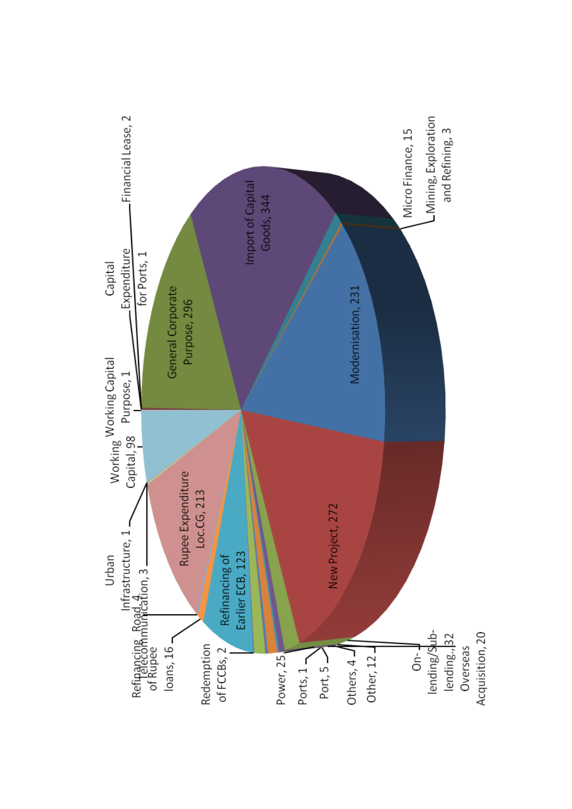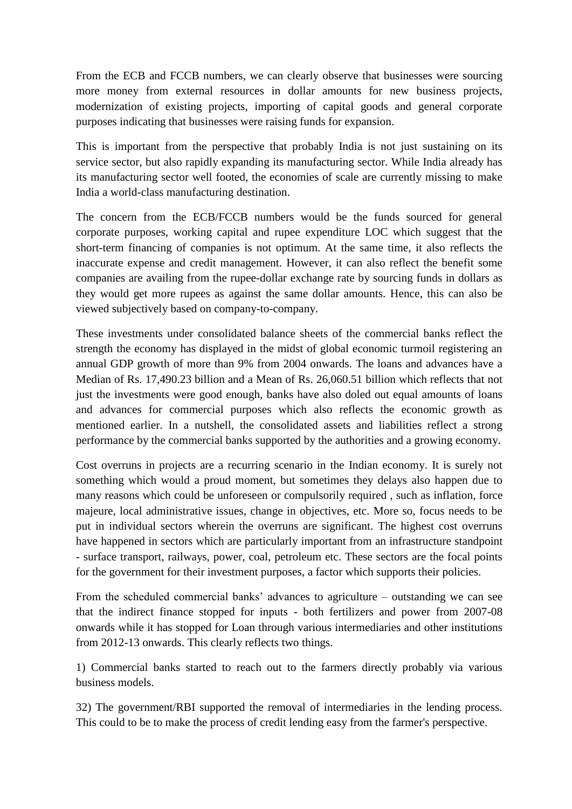From the ECB and FCCB numbers, we can clearly observe that businesses were sourcing more money from external resources in dollar amounts for new business projects, modernization of existing projects, importing of capital goods and general corporate purposes indicating that businesses were raising funds for expansion.

This is important from the perspective that probably India is not just sustaining on its service sector, but also rapidly expanding its manufacturing sector. While India already has its manufacturing sector well footed, the economies of scale are currently missing to make India a world-class manufacturing destination.

The concern from the ECB/FCCB numbers would be the funds sourced for general corporate purposes, working capital and rupee expenditure LOC which suggest that the short-term financing of companies is not optimum. At the same time, it also reflects the inaccurate expense and credit management. However, it can also reflect the benefit some companies are availing from the rupee-dollar exchange rate by sourcing funds in dollars as they would get more rupees as against the same dollar amounts. Hence, this can also be viewed subjectively based on company-to-company.

These investments under consolidated balance sheets of the commercial banks reflect the strength the economy has displayed in the midst of global economic turmoil registering an annual GDP growth of more than 9% from 2004 onwards. The loans and advances have a Median of Rs. 17,490.23 billion and a Mean of Rs. 26,060.51 billion which reflects that not just the investments were good enough, banks have also doled out equal amounts of loans and advances for commercial purposes which also reflects the economic growth as mentioned earlier. In a nutshell, the consolidated assets and liabilities reflect a strong performance by the commercial banks supported by the authorities and a growing economy.

Cost overruns in projects are a recurring scenario in the Indian economy. It is surely not something which would a proud moment, but sometimes they delays also happen due to many reasons which could be unforeseen or compulsorily required , such as inflation, force majeure, local administrative issues, change in objectives, etc. More so, focus needs to be put in individual sectors wherein the overruns are significant. The highest cost overruns have happened in sectors which are particularly important from an infrastructure standpoint - surface transport, railways, power, coal, petroleum etc. These sectors are the focal points for the government for their investment purposes, a factor which supports their policies.

From the scheduled commercial banks' advances to agriculture – outstanding we can see that the indirect finance stopped for inputs - both fertilizers and power from 2007-08 onwards while it has stopped for Loan through various intermediaries and other institutions from 2012-13 onwards. This clearly reflects two things.

1) Commercial banks started to reach out to the farmers directly probably via various business models.

32) The government/RBI supported the removal of intermediaries in the lending process. This could to be to make the process of credit lending easy from the farmer's perspective.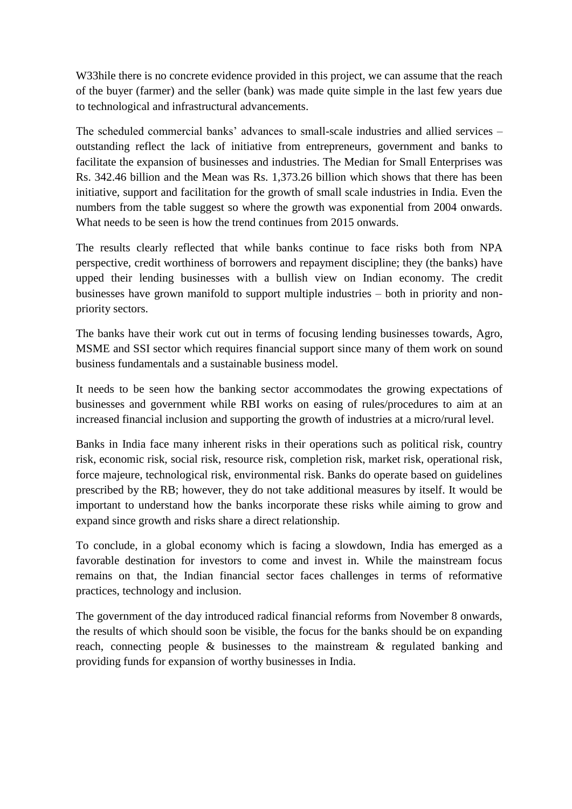W33hile there is no concrete evidence provided in this project, we can assume that the reach of the buyer (farmer) and the seller (bank) was made quite simple in the last few years due to technological and infrastructural advancements.

The scheduled commercial banks' advances to small-scale industries and allied services – outstanding reflect the lack of initiative from entrepreneurs, government and banks to facilitate the expansion of businesses and industries. The Median for Small Enterprises was Rs. 342.46 billion and the Mean was Rs. 1,373.26 billion which shows that there has been initiative, support and facilitation for the growth of small scale industries in India. Even the numbers from the table suggest so where the growth was exponential from 2004 onwards. What needs to be seen is how the trend continues from 2015 onwards.

The results clearly reflected that while banks continue to face risks both from NPA perspective, credit worthiness of borrowers and repayment discipline; they (the banks) have upped their lending businesses with a bullish view on Indian economy. The credit businesses have grown manifold to support multiple industries – both in priority and nonpriority sectors.

The banks have their work cut out in terms of focusing lending businesses towards, Agro, MSME and SSI sector which requires financial support since many of them work on sound business fundamentals and a sustainable business model.

It needs to be seen how the banking sector accommodates the growing expectations of businesses and government while RBI works on easing of rules/procedures to aim at an increased financial inclusion and supporting the growth of industries at a micro/rural level.

Banks in India face many inherent risks in their operations such as political risk, country risk, economic risk, social risk, resource risk, completion risk, market risk, operational risk, force majeure, technological risk, environmental risk. Banks do operate based on guidelines prescribed by the RB; however, they do not take additional measures by itself. It would be important to understand how the banks incorporate these risks while aiming to grow and expand since growth and risks share a direct relationship.

To conclude, in a global economy which is facing a slowdown, India has emerged as a favorable destination for investors to come and invest in. While the mainstream focus remains on that, the Indian financial sector faces challenges in terms of reformative practices, technology and inclusion.

The government of the day introduced radical financial reforms from November 8 onwards, the results of which should soon be visible, the focus for the banks should be on expanding reach, connecting people & businesses to the mainstream & regulated banking and providing funds for expansion of worthy businesses in India.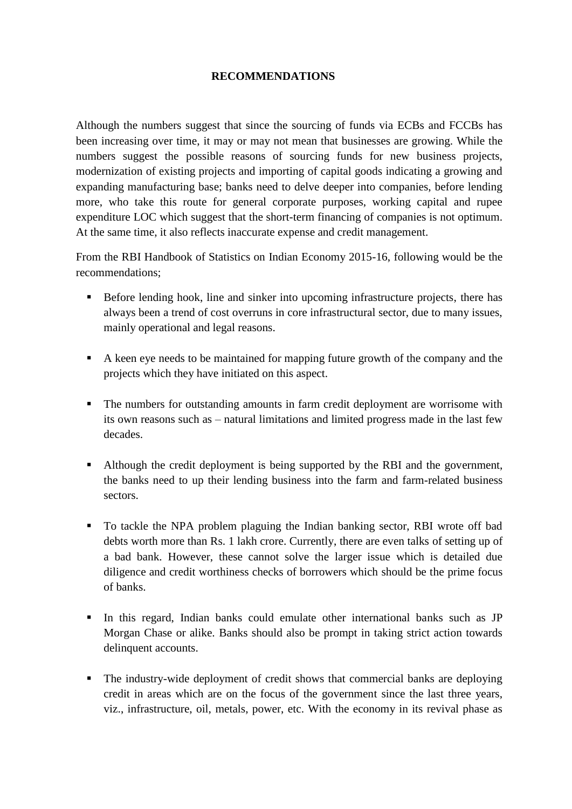### **RECOMMENDATIONS**

Although the numbers suggest that since the sourcing of funds via ECBs and FCCBs has been increasing over time, it may or may not mean that businesses are growing. While the numbers suggest the possible reasons of sourcing funds for new business projects, modernization of existing projects and importing of capital goods indicating a growing and expanding manufacturing base; banks need to delve deeper into companies, before lending more, who take this route for general corporate purposes, working capital and rupee expenditure LOC which suggest that the short-term financing of companies is not optimum. At the same time, it also reflects inaccurate expense and credit management.

From the RBI Handbook of Statistics on Indian Economy 2015-16, following would be the recommendations;

- Before lending hook, line and sinker into upcoming infrastructure projects, there has always been a trend of cost overruns in core infrastructural sector, due to many issues, mainly operational and legal reasons.
- A keen eye needs to be maintained for mapping future growth of the company and the projects which they have initiated on this aspect.
- The numbers for outstanding amounts in farm credit deployment are worrisome with its own reasons such as – natural limitations and limited progress made in the last few decades.
- Although the credit deployment is being supported by the RBI and the government, the banks need to up their lending business into the farm and farm-related business sectors.
- To tackle the NPA problem plaguing the Indian banking sector, RBI wrote off bad debts worth more than Rs. 1 lakh crore. Currently, there are even talks of setting up of a bad bank. However, these cannot solve the larger issue which is detailed due diligence and credit worthiness checks of borrowers which should be the prime focus of banks.
- In this regard, Indian banks could emulate other international banks such as JP Morgan Chase or alike. Banks should also be prompt in taking strict action towards delinquent accounts.
- The industry-wide deployment of credit shows that commercial banks are deploying credit in areas which are on the focus of the government since the last three years, viz., infrastructure, oil, metals, power, etc. With the economy in its revival phase as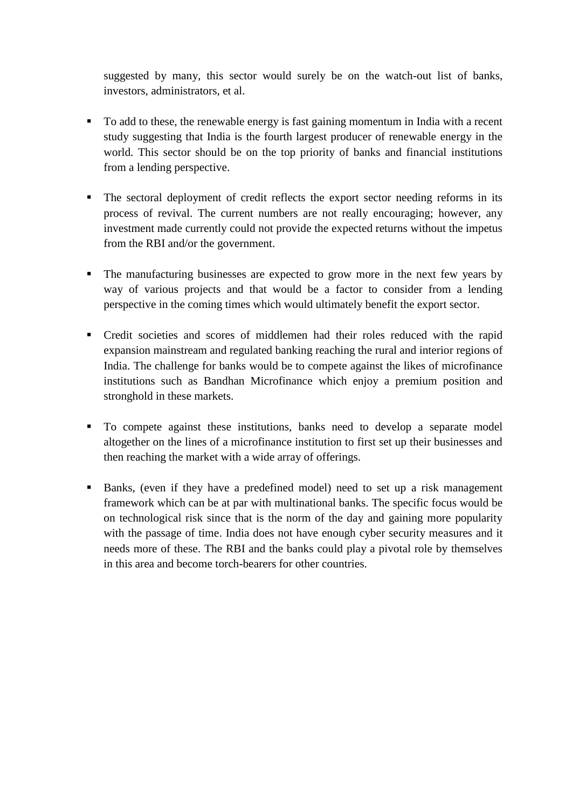suggested by many, this sector would surely be on the watch-out list of banks, investors, administrators, et al.

- To add to these, the renewable energy is fast gaining momentum in India with a recent study suggesting that India is the fourth largest producer of renewable energy in the world. This sector should be on the top priority of banks and financial institutions from a lending perspective.
- The sectoral deployment of credit reflects the export sector needing reforms in its process of revival. The current numbers are not really encouraging; however, any investment made currently could not provide the expected returns without the impetus from the RBI and/or the government.
- The manufacturing businesses are expected to grow more in the next few years by way of various projects and that would be a factor to consider from a lending perspective in the coming times which would ultimately benefit the export sector.
- Credit societies and scores of middlemen had their roles reduced with the rapid expansion mainstream and regulated banking reaching the rural and interior regions of India. The challenge for banks would be to compete against the likes of microfinance institutions such as Bandhan Microfinance which enjoy a premium position and stronghold in these markets.
- To compete against these institutions, banks need to develop a separate model altogether on the lines of a microfinance institution to first set up their businesses and then reaching the market with a wide array of offerings.
- Banks, (even if they have a predefined model) need to set up a risk management framework which can be at par with multinational banks. The specific focus would be on technological risk since that is the norm of the day and gaining more popularity with the passage of time. India does not have enough cyber security measures and it needs more of these. The RBI and the banks could play a pivotal role by themselves in this area and become torch-bearers for other countries.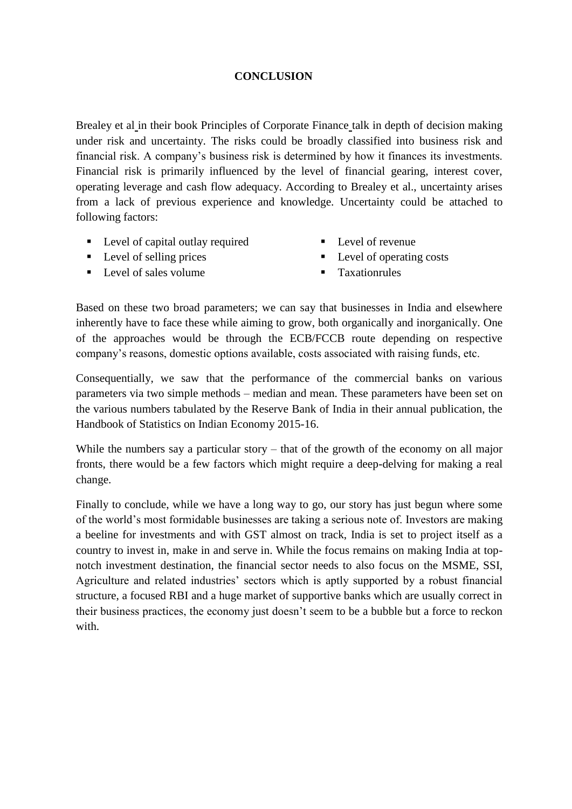### **CONCLUSION**

Brealey et al in their book Principles of Corporate Finance talk in depth of decision making under risk and uncertainty. The risks could be broadly classified into business risk and financial risk. A company's business risk is determined by how it finances its investments. Financial risk is primarily influenced by the level of financial gearing, interest cover, operating leverage and cash flow adequacy. According to Brealey et al., uncertainty arises from a lack of previous experience and knowledge. Uncertainty could be attached to following factors:

- Level of capital outlay required
- $\blacksquare$  Level of selling prices
- $\blacksquare$  Level of sales volume
- **Level of revenue**
- Level of operating costs
- **Taxationrules**

Based on these two broad parameters; we can say that businesses in India and elsewhere inherently have to face these while aiming to grow, both organically and inorganically. One of the approaches would be through the ECB/FCCB route depending on respective company's reasons, domestic options available, costs associated with raising funds, etc.

Consequentially, we saw that the performance of the commercial banks on various parameters via two simple methods – median and mean. These parameters have been set on the various numbers tabulated by the Reserve Bank of India in their annual publication, the Handbook of Statistics on Indian Economy 2015-16.

While the numbers say a particular story – that of the growth of the economy on all major fronts, there would be a few factors which might require a deep-delving for making a real change.

Finally to conclude, while we have a long way to go, our story has just begun where some of the world's most formidable businesses are taking a serious note of. Investors are making a beeline for investments and with GST almost on track, India is set to project itself as a country to invest in, make in and serve in. While the focus remains on making India at topnotch investment destination, the financial sector needs to also focus on the MSME, SSI, Agriculture and related industries' sectors which is aptly supported by a robust financial structure, a focused RBI and a huge market of supportive banks which are usually correct in their business practices, the economy just doesn't seem to be a bubble but a force to reckon with.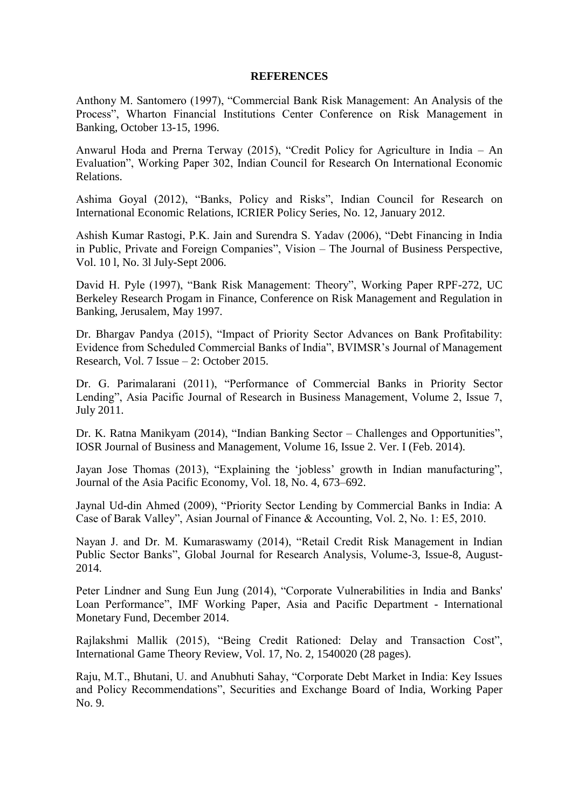#### **REFERENCES**

Anthony M. Santomero (1997), "Commercial Bank Risk Management: An Analysis of the Process", Wharton Financial Institutions Center Conference on Risk Management in Banking, October 13-15, 1996.

Anwarul Hoda and Prerna Terway (2015), "Credit Policy for Agriculture in India – An Evaluation", Working Paper 302, Indian Council for Research On International Economic Relations.

Ashima Goyal (2012), "Banks, Policy and Risks", Indian Council for Research on International Economic Relations, ICRIER Policy Series, No. 12, January 2012.

Ashish Kumar Rastogi, P.K. Jain and Surendra S. Yadav (2006), "Debt Financing in India in Public, Private and Foreign Companies", Vision – The Journal of Business Perspective, Vol. 10 l, No. 3l July-Sept 2006.

David H. Pyle (1997), "Bank Risk Management: Theory", Working Paper RPF-272, UC Berkeley Research Progam in Finance, Conference on Risk Management and Regulation in Banking, Jerusalem, May 1997.

Dr. Bhargav Pandya (2015), "Impact of Priority Sector Advances on Bank Profitability: Evidence from Scheduled Commercial Banks of India", BVIMSR's Journal of Management Research, Vol. 7 Issue – 2: October 2015.

Dr. G. Parimalarani (2011), "Performance of Commercial Banks in Priority Sector Lending", Asia Pacific Journal of Research in Business Management, Volume 2, Issue 7, July 2011.

Dr. K. Ratna Manikyam (2014), "Indian Banking Sector – Challenges and Opportunities", IOSR Journal of Business and Management, Volume 16, Issue 2. Ver. I (Feb. 2014).

Jayan Jose Thomas (2013), "Explaining the 'jobless' growth in Indian manufacturing", Journal of the Asia Pacific Economy, Vol. 18, No. 4, 673–692.

Jaynal Ud-din Ahmed (2009), "Priority Sector Lending by Commercial Banks in India: A Case of Barak Valley", Asian Journal of Finance & Accounting, Vol. 2, No. 1: E5, 2010.

Nayan J. and Dr. M. Kumaraswamy (2014), "Retail Credit Risk Management in Indian Public Sector Banks", Global Journal for Research Analysis, Volume-3, Issue-8, August-2014.

Peter Lindner and Sung Eun Jung (2014), "Corporate Vulnerabilities in India and Banks' Loan Performance", IMF Working Paper, Asia and Pacific Department - International Monetary Fund, December 2014.

Rajlakshmi Mallik (2015), "Being Credit Rationed: Delay and Transaction Cost", International Game Theory Review, Vol. 17, No. 2, 1540020 (28 pages).

Raju, M.T., Bhutani, U. and Anubhuti Sahay, "Corporate Debt Market in India: Key Issues and Policy Recommendations", Securities and Exchange Board of India, Working Paper No. 9.